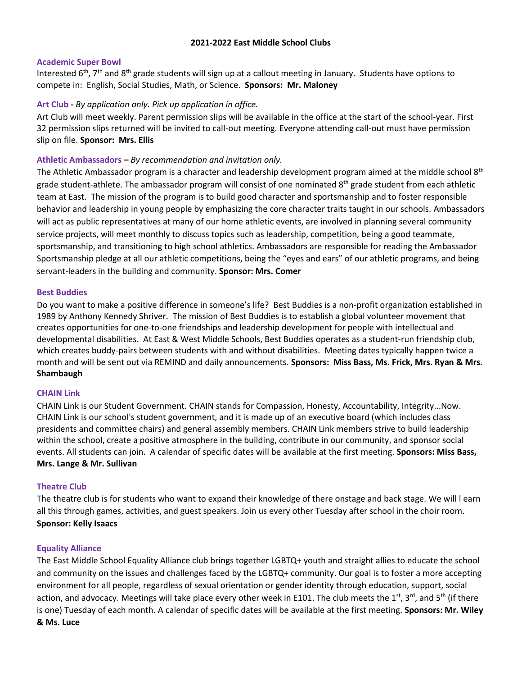## **2021-2022 East Middle School Clubs**

#### **Academic Super Bowl**

Interested 6<sup>th</sup>, 7<sup>th</sup> and 8<sup>th</sup> grade students will sign up at a callout meeting in January. Students have options to compete in: English, Social Studies, Math, or Science. **Sponsors: Mr. Maloney** 

#### **Art Club -** *By application only. Pick up application in office.*

Art Club will meet weekly. Parent permission slips will be available in the office at the start of the school-year. First 32 permission slips returned will be invited to call-out meeting. Everyone attending call-out must have permission slip on file. **Sponsor: Mrs. Ellis**

#### **Athletic Ambassadors –** *By recommendation and invitation only.*

The Athletic Ambassador program is a character and leadership development program aimed at the middle school 8<sup>th</sup> grade student-athlete. The ambassador program will consist of one nominated 8<sup>th</sup> grade student from each athletic team at East. The mission of the program is to build good character and sportsmanship and to foster responsible behavior and leadership in young people by emphasizing the core character traits taught in our schools. Ambassadors will act as public representatives at many of our home athletic events, are involved in planning several community service projects, will meet monthly to discuss topics such as leadership, competition, being a good teammate, sportsmanship, and transitioning to high school athletics. Ambassadors are responsible for reading the Ambassador Sportsmanship pledge at all our athletic competitions, being the "eyes and ears" of our athletic programs, and being servant-leaders in the building and community. **Sponsor: Mrs. Comer**

#### **Best Buddies**

Do you want to make a positive difference in someone's life? Best Buddies is a non-profit organization established in 1989 by Anthony Kennedy Shriver. The mission of Best Buddies is to establish a global volunteer movement that creates opportunities for one-to-one friendships and leadership development for people with intellectual and developmental disabilities. At East & West Middle Schools, Best Buddies operates as a student-run friendship club, which creates buddy-pairs between students with and without disabilities. Meeting dates typically happen twice a month and will be sent out via REMIND and daily announcements. **Sponsors: Miss Bass, Ms. Frick, Mrs. Ryan & Mrs. Shambaugh**

## **CHAIN Link**

CHAIN Link is our Student Government. CHAIN stands for Compassion, Honesty, Accountability, Integrity...Now. CHAIN Link is our school's student government, and it is made up of an executive board (which includes class presidents and committee chairs) and general assembly members. CHAIN Link members strive to build leadership within the school, create a positive atmosphere in the building, contribute in our community, and sponsor social events. All students can join. A calendar of specific dates will be available at the first meeting. **Sponsors: Miss Bass, Mrs. Lange & Mr. Sullivan**

#### **Theatre Club**

The theatre club is for students who want to expand their knowledge of there onstage and back stage. We will l earn all this through games, activities, and guest speakers. Join us every other Tuesday after school in the choir room. **Sponsor: Kelly Isaacs**

#### **Equality Alliance**

The East Middle School Equality Alliance club brings together LGBTQ+ youth and straight allies to educate the school and community on the issues and challenges faced by the LGBTQ+ community. Our goal is to foster a more accepting environment for all people, regardless of sexual orientation or gender identity through education, support, social action, and advocacy. Meetings will take place every other week in E101. The club meets the 1<sup>st</sup>, 3<sup>rd</sup>, and 5<sup>th</sup> (if there is one) Tuesday of each month. A calendar of specific dates will be available at the first meeting. **Sponsors: Mr. Wiley & Ms. Luce**